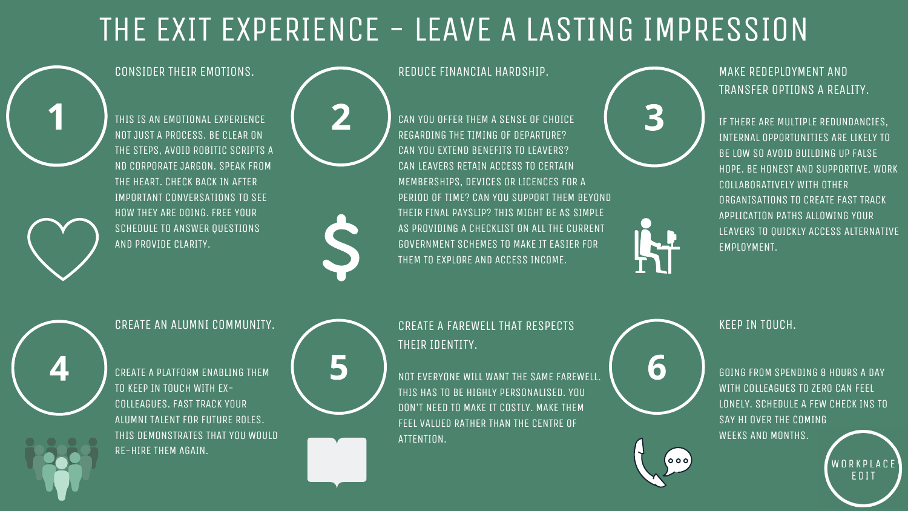### REDUCE FINANCIAL HARDSHIP.

CAN YOU OFFER THEM A SENSE OF CHOICE REGARDING THE TIMING OF DEPARTURE? CAN YOU EXTEND BENEFITS TO LEAVERS? CAN LEAVERS RETAIN ACCESS TO CERTAIN MEMBERSHIPS, DEVICES OR LICENCES FOR A PERIOD OF TIME? CAN YOU SUPPORT THEM BEYOND THEIR FINAL PAYSLIP? THIS MIGHT BE AS SIMPLE AS PROVIDING A CHECKLIST ON ALL THE CURRENT GOVERNMENT SCHEMES TO MAKE IT EASIER FOR THEM TO EXPLORE AND ACCESS INCOME.



### CREATE A FAREWELL THAT RESPECTS THEIR IDENTITY.

NOT EVERYONE WILL WANT THE SAME FAREWELL. THIS HAS TO BE HIGHLY PERSONALISED. YOU DON'T NEED TO MAKE IT COSTLY. MAKE THEM FEEL VALUED RATHER THAN THE CENTRE OF ATTENTION.

# THE EXIT EXPERIENCE - LEAVE A LASTING IMPRESSION



### CONSIDER THEIR EMOTIONS.

THIS IS AN EMOTIONAL EXPERIENCE NOT JUST A PROCESS. BE CLEAR ON THE STEPS, AVOID ROBITIC SCRIPTS A ND CORPORATE JARGON. SPEAK FROM THE HEART. CHECK BACK IN AFTER IMPORTANT CONVERSATIONS TO SEE HOW THEY ARE DOING. FREE YOUR SCHEDULE TO ANSWER QUESTIONS AND PROVIDE CLARITY.



MAKE REDEPLOYMENT AND TRANSFER OPTIONS A REALITY.

IF THERE ARE MULTIPLE REDUNDANCIES, INTERNAL OPPORTUNITIES ARE LIKELY TO BE LOW SO AVOID BUILDING UP FALSE HOPE. BE HONEST AND SUPPORTIVE. WORK COLLABORATIVELY WITH OTHER ORGANISATIONS TO CREATE FAST TRACK APPLICATION PATHS ALLOWING YOUR LEAVERS TO QUICKLY ACCESS ALTERNATIVE EMPLOYMENT.

KEEP IN TOUCH.

GOING FROM SPENDING 8 HOURS A DAY WITH COLLEAGUES TO ZERO CAN FEEL LONELY. SCHEDULE A FEW CHECK INS TO SAY HI OVER THE COMING WEEKS AND MONTHS.

> WORKPLACE EDIT



### CREATE AN ALUMNI COMMUNITY.

CREATE A PLATFORM ENABLING THEM TO KEEP IN TOUCH WITH EX-COLLEAGUES. FAST TRACK YOUR ALUMNI TALENT FOR FUTURE ROLES. THIS DEMONSTRATES THAT YOU WOULD RE-HIRE THEM AGAIN.

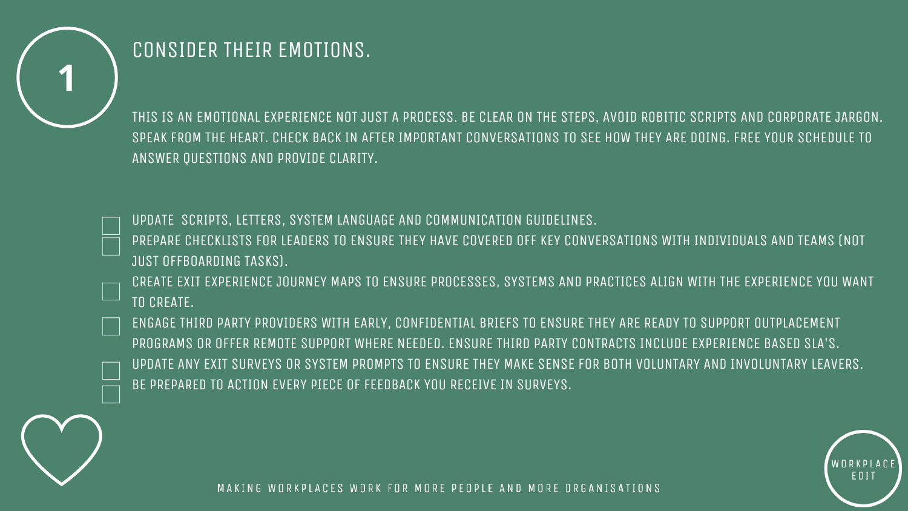

## CONSIDER THEIR EMOTIONS.

UPDATE SCRIPTS, LETTERS, SYSTEM LANGUAGE AND COMMUNICATION GUIDELINES. PREPARE CHECKLISTS FOR LEADERS TO ENSURE THEY HAVE COVERED OFF KEY CONVERSATIONS WITH INDIVIDUALS AND TEAMS (NOT JUST OFFBOARDING TASKS).

THIS IS AN EMOTIONAL EXPERIENCE NOT JUST A PROCESS. BE CLEAR ON THE STEPS, AVOID ROBITIC SCRIPTS AND CORPORATE JARGON. SPEAK FROM THE HEART. CHECK BACK IN AFTER IMPORTANT CONVERSATIONS TO SEE HOW THEY ARE DOING. FREE YOUR SCHEDULE TO ANSWER QUESTIONS AND PROVIDE CLARITY.

CREATE EXIT EXPERIENCE JOURNEY MAPS TO ENSURE PROCESSES, SYSTEMS AND PRACTICES ALIGN WITH THE EXPERIENCE YOU WANT TO CREATE.

ENGAGE THIRD PARTY PROVIDERS WITH EARLY, CONFIDENTIAL BRIEFS TO ENSURE THEY ARE READY TO SUPPORT OUTPLACEMENT PROGRAMS OR OFFER REMOTE SUPPORT WHERE NEEDED. ENSURE THIRD PARTY CONTRACTS INCLUDE EXPERIENCE BASED SLA'S. UPDATE ANY EXIT SURVEYS OR SYSTEM PROMPTS TO ENSURE THEY MAKE SENSE FOR BOTH VOLUNTARY AND INVOLUNTARY LEAVERS. BE PREPARED TO ACTION EVERY PIECE OF FEEDBACK YOU RECEIVE IN SURVEYS.



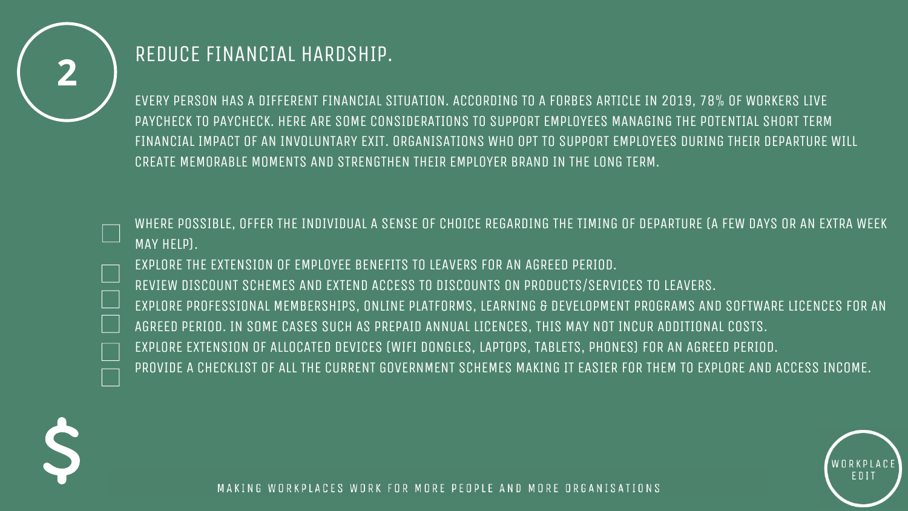

## REDUCE FINANCIAL HARDSHIP.

EVERY PERSON HAS A DIFFERENT FINANCIAL SITUATION. ACCORDING TO A FORBES ARTICLE IN 2019, 78% OF WORKERS LIVE PAYCHECK TO PAYCHECK. HERE ARE SOME CONSIDERATIONS TO SUPPORT EMPLOYEES MANAGING THE POTENTIAL SHORT TERM FINANCIAL IMPACT OF AN INVOLUNTARY EXIT. ORGANISATIONS WHO OPT TO SUPPORT EMPLOYEES DURING THEIR DEPARTURE WILL CREATE MEMORABLE MOMENTS AND STRENGTHEN THEIR EMPLOYER BRAND IN THE LONG TERM.

WHERE POSSIBLE, OFFER THE INDIVIDUAL A SENSE OF CHOICE REGARDING THE TIMING OF DEPARTURE (A FEW DAYS OR AN EXTRA WEEK MAY HELP).

EXPLORE THE EXTENSION OF EMPLOYEE BENEFITS TO LEAVERS FOR AN AGREED PERIOD. REVIEW DISCOUNT SCHEMES AND EXTEND ACCESS TO DISCOUNTS ON PRODUCTS/SERVICES TO LEAVERS. EXPLORE PROFESSIONAL MEMBERSHIPS, ONLINE PLATFORMS, LEARNING & DEVELOPMENT PROGRAMS AND SOFTWARE LICENCES FOR AN AGREED PERIOD. IN SOME CASES SUCH AS PREPAID ANNUAL LICENCES, THIS MAY NOT INCUR ADDITIONAL COSTS. EXPLORE EXTENSION OF ALLOCATED DEVICES (WIFI DONGLES, LAPTOPS, TABLETS, PHONES) FOR AN AGREED PERIOD. PROVIDE A CHECKLIST OF ALL THE CURRENT GOVERNMENT SCHEMES MAKING IT EASIER FOR THEM TO EXPLORE AND ACCESS INCOME.



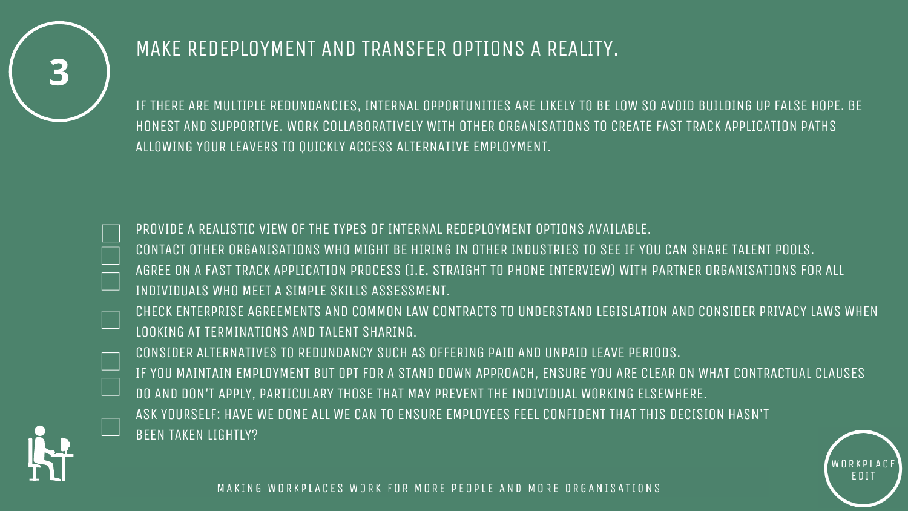

## MAKE REDEPLOYMENT AND TRANSFER OPTIONS A REALITY.

IF THERE ARE MULTIPLE REDUNDANCIES, INTERNAL OPPORTUNITIES ARE LIKELY TO BE LOW SO AVOID BUILDING UP FALSE HOPE. BE HONEST AND SUPPORTIVE. WORK COLLABORATIVELY WITH OTHER ORGANISATIONS TO CREATE FAST TRACK APPLICATION PATHS ALLOWING YOUR LEAVERS TO QUICKLY ACCESS ALTERNATIVE EMPLOYMENT.

PROVIDE A REALISTIC VIEW OF THE TYPES OF INTERNAL REDEPLOYMENT OPTIONS AVAILABLE. CONTACT OTHER ORGANISATIONS WHO MIGHT BE HIRING IN OTHER INDUSTRIES TO SEE IF YOU CAN SHARE TALENT POOLS. AGREE ON A FAST TRACK APPLICATION PROCESS (I.E. STRAIGHT TO PHONE INTERVIEW) WITH PARTNER ORGANISATIONS FOR ALL INDIVIDUALS WHO MEET A SIMPLE SKILLS ASSESSMENT.

CHECK ENTERPRISE AGREEMENTS AND COMMON LAW CONTRACTS TO UNDERSTAND LEGISLATION AND CONSIDER PRIVACY LAWS WHEN LOOKING AT TERMINATIONS AND TALENT SHARING.

CONSIDER ALTERNATIVES TO REDUNDANCY SUCH AS OFFERING PAID AND UNPAID LEAVE PERIODS. IF YOU MAINTAIN EMPLOYMENT BUT OPT FOR A STAND DOWN APPROACH, ENSURE YOU ARE CLEAR ON WHAT CONTRACTUAL CLAUSES DO AND DON'T APPLY, PARTICULARY THOSE THAT MAY PREVENT THE INDIVIDUAL WORKING ELSEWHERE. ASK YOURSELF: HAVE WE DONE ALL WE CAN TO ENSURE EMPLOYEES FEEL CONFIDENT THAT THIS DECISION HASN'T BEEN TAKEN LIGHTLY?



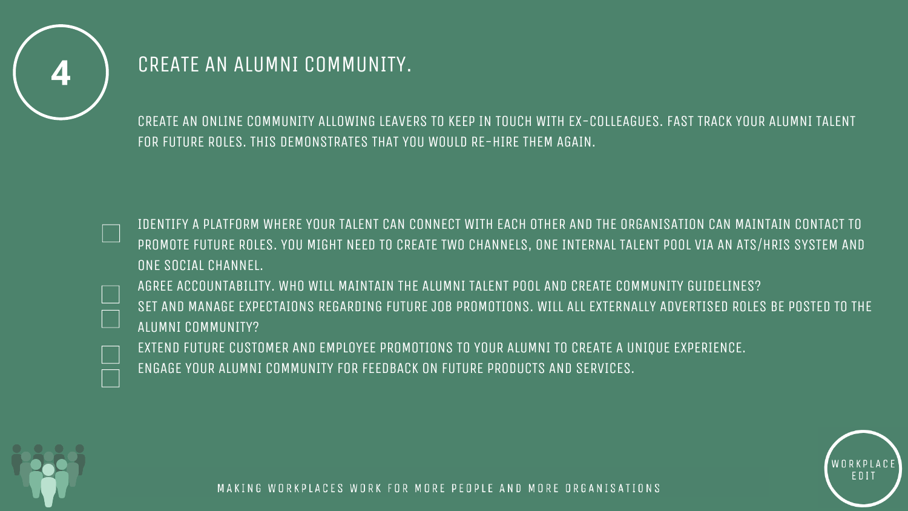

## CREATE AN ALUMNI COMMUNITY.

CREATE AN ONLINE COMMUNITY ALLOWING LEAVERS TO KEEP IN TOUCH WITH EX-COLLEAGUES. FAST TRACK YOUR ALUMNI TALENT FOR FUTURE ROLES. THIS DEMONSTRATES THAT YOU WOULD RE-HIRE THEM AGAIN.

IDENTIFY A PLATFORM WHERE YOUR TALENT CAN CONNECT WITH EACH OTHER AND THE ORGANISATION CAN MAINTAIN CONTACT TO PROMOTE FUTURE ROLES. YOU MIGHT NEED TO CREATE TWO CHANNELS, ONE INTERNAL TALENT POOL VIA AN ATS/HRIS SYSTEM AND ONE SOCIAL CHANNEL.

AGREE ACCOUNTABILITY. WHO WILL MAINTAIN THE ALUMNI TALENT POOL AND CREATE COMMUNITY GUIDELINES? SET AND MANAGE EXPECTAIONS REGARDING FUTURE JOB PROMOTIONS. WILL ALL EXTERNALLY ADVERTISED ROLES BE POSTED TO THE ALUMNI COMMUNITY?

EXTEND FUTURE CUSTOMER AND EMPLOYEE PROMOTIONS TO YOUR ALUMNI TO CREATE A UNIQUE EXPERIENCE. ENGAGE YOUR ALUMNI COMMUNITY FOR FEEDBACK ON FUTURE PRODUCTS AND SERVICES.



EDIT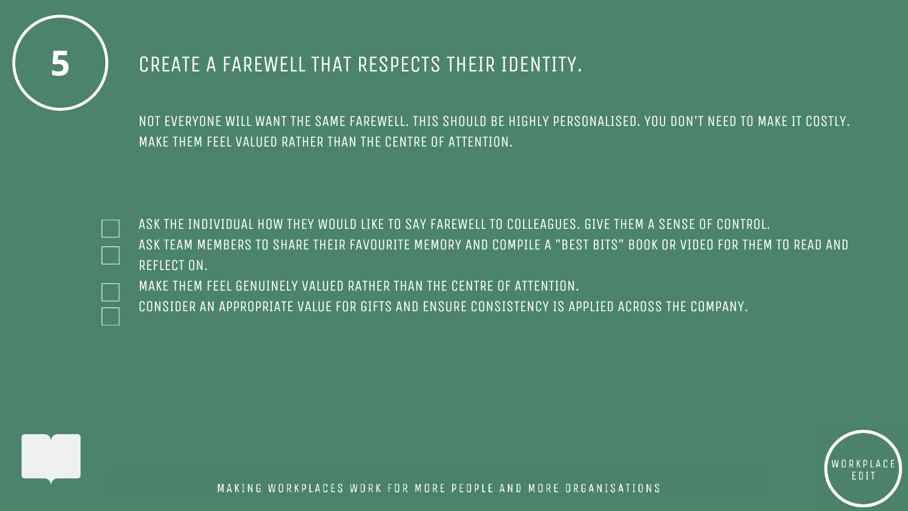

### CREATE A FAREWELL THAT RESPECTS THEIR IDENTITY.

NOT EVERYONE WILL WANT THE SAME FAREWELL. THIS SHOULD BE HIGHLY PERSONALISED. YOU DON'T NEED TO MAKE IT COSTLY. MAKE THEM FEEL VALUED RATHER THAN THE CENTRE OF ATTENTION.

ASK THE INDIVIDUAL HOW THEY WOULD LIKE TO SAY FAREWELL TO COLLEAGUES. GIVE THEM A SENSE OF CONTROL. ASK TEAM MEMBERS TO SHARE THEIR FAVOURITE MEMORY AND COMPILE A "BEST BITS" BOOK OR VIDEO FOR THEM TO READ AND REFLECT ON.

MAKE THEM FEEL GENUINELY VALUED RATHER THAN THE CENTRE OF ATTENTION. CONSIDER AN APPROPRIATE VALUE FOR GIFTS AND ENSURE CONSISTENCY IS APPLIED ACROSS THE COMPANY.